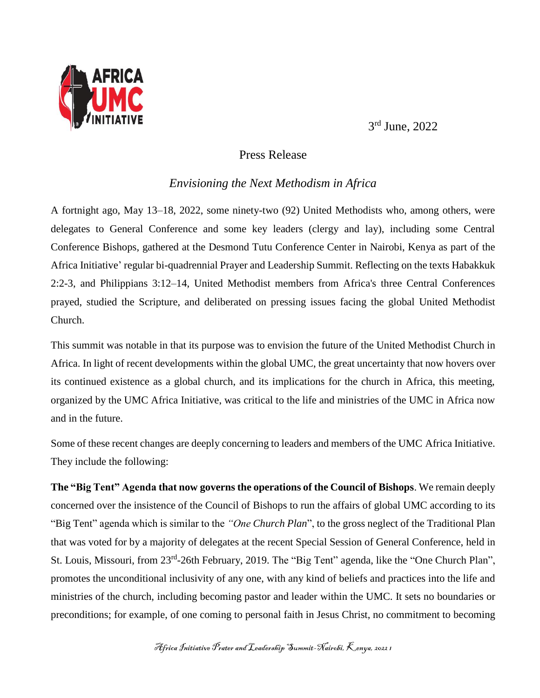

3 rd June, 2022

## Press Release

## *Envisioning the Next Methodism in Africa*

A fortnight ago, May 13–18, 2022, some ninety-two (92) United Methodists who, among others, were delegates to General Conference and some key leaders (clergy and lay), including some Central Conference Bishops, gathered at the Desmond Tutu Conference Center in Nairobi, Kenya as part of the Africa Initiative' regular bi-quadrennial Prayer and Leadership Summit. Reflecting on the texts Habakkuk 2:2-3, and Philippians 3:12–14, United Methodist members from Africa's three Central Conferences prayed, studied the Scripture, and deliberated on pressing issues facing the global United Methodist Church.

This summit was notable in that its purpose was to envision the future of the United Methodist Church in Africa. In light of recent developments within the global UMC, the great uncertainty that now hovers over its continued existence as a global church, and its implications for the church in Africa, this meeting, organized by the UMC Africa Initiative, was critical to the life and ministries of the UMC in Africa now and in the future.

Some of these recent changes are deeply concerning to leaders and members of the UMC Africa Initiative. They include the following:

**The "Big Tent" Agenda that now governs the operations of the Council of Bishops**. We remain deeply concerned over the insistence of the Council of Bishops to run the affairs of global UMC according to its "Big Tent" agenda which is similar to the *"One Church Plan*", to the gross neglect of the Traditional Plan that was voted for by a majority of delegates at the recent Special Session of General Conference, held in St. Louis, Missouri, from 23<sup>rd</sup>-26th February, 2019. The "Big Tent" agenda, like the "One Church Plan", promotes the unconditional inclusivity of any one, with any kind of beliefs and practices into the life and ministries of the church, including becoming pastor and leader within the UMC. It sets no boundaries or preconditions; for example, of one coming to personal faith in Jesus Christ, no commitment to becoming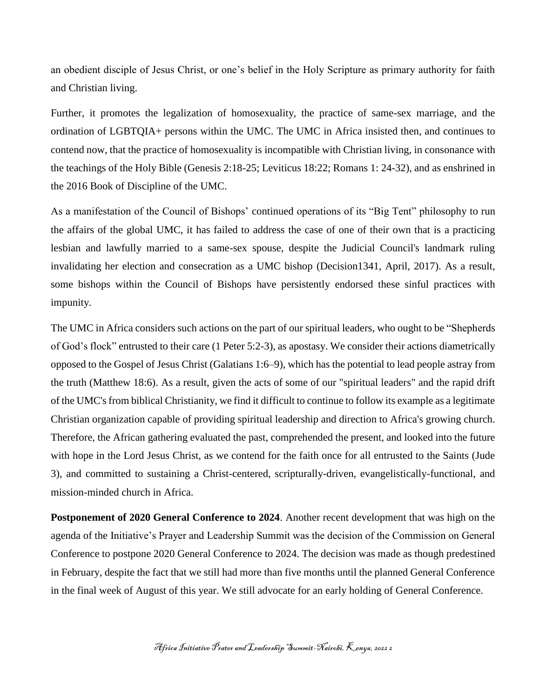an obedient disciple of Jesus Christ, or one's belief in the Holy Scripture as primary authority for faith and Christian living.

Further, it promotes the legalization of homosexuality, the practice of same-sex marriage, and the ordination of LGBTQIA+ persons within the UMC. The UMC in Africa insisted then, and continues to contend now, that the practice of homosexuality is incompatible with Christian living, in consonance with the teachings of the Holy Bible (Genesis 2:18-25; Leviticus 18:22; Romans 1: 24-32), and as enshrined in the 2016 Book of Discipline of the UMC.

As a manifestation of the Council of Bishops' continued operations of its "Big Tent" philosophy to run the affairs of the global UMC, it has failed to address the case of one of their own that is a practicing lesbian and lawfully married to a same-sex spouse, despite the Judicial Council's landmark ruling invalidating her election and consecration as a UMC bishop (Decision1341, April, 2017). As a result, some bishops within the Council of Bishops have persistently endorsed these sinful practices with impunity.

The UMC in Africa considers such actions on the part of our spiritual leaders, who ought to be "Shepherds of God's flock" entrusted to their care (1 Peter 5:2-3), as apostasy. We consider their actions diametrically opposed to the Gospel of Jesus Christ (Galatians 1:6–9), which has the potential to lead people astray from the truth (Matthew 18:6). As a result, given the acts of some of our "spiritual leaders" and the rapid drift of the UMC's from biblical Christianity, we find it difficult to continue to follow its example as a legitimate Christian organization capable of providing spiritual leadership and direction to Africa's growing church. Therefore, the African gathering evaluated the past, comprehended the present, and looked into the future with hope in the Lord Jesus Christ, as we contend for the faith once for all entrusted to the Saints (Jude 3), and committed to sustaining a Christ-centered, scripturally-driven, evangelistically-functional, and mission-minded church in Africa.

**Postponement of 2020 General Conference to 2024**. Another recent development that was high on the agenda of the Initiative's Prayer and Leadership Summit was the decision of the Commission on General Conference to postpone 2020 General Conference to 2024. The decision was made as though predestined in February, despite the fact that we still had more than five months until the planned General Conference in the final week of August of this year. We still advocate for an early holding of General Conference.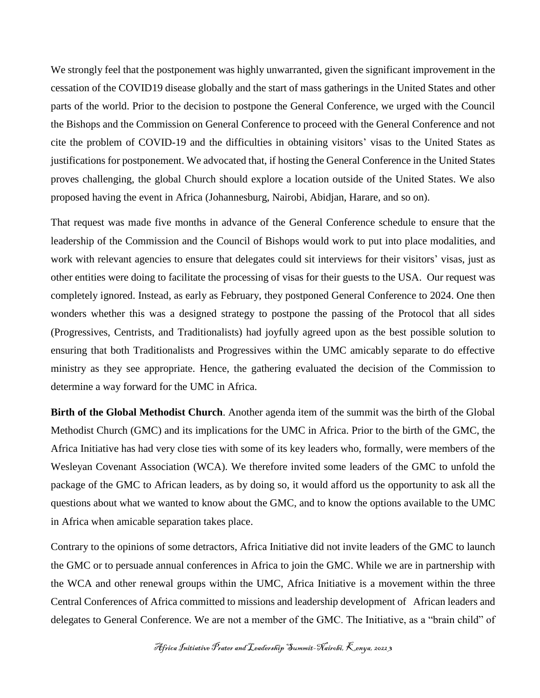We strongly feel that the postponement was highly unwarranted, given the significant improvement in the cessation of the COVID19 disease globally and the start of mass gatherings in the United States and other parts of the world. Prior to the decision to postpone the General Conference, we urged with the Council the Bishops and the Commission on General Conference to proceed with the General Conference and not cite the problem of COVID-19 and the difficulties in obtaining visitors' visas to the United States as justifications for postponement. We advocated that, if hosting the General Conference in the United States proves challenging, the global Church should explore a location outside of the United States. We also proposed having the event in Africa (Johannesburg, Nairobi, Abidjan, Harare, and so on).

That request was made five months in advance of the General Conference schedule to ensure that the leadership of the Commission and the Council of Bishops would work to put into place modalities, and work with relevant agencies to ensure that delegates could sit interviews for their visitors' visas, just as other entities were doing to facilitate the processing of visas for their guests to the USA. Our request was completely ignored. Instead, as early as February, they postponed General Conference to 2024. One then wonders whether this was a designed strategy to postpone the passing of the Protocol that all sides (Progressives, Centrists, and Traditionalists) had joyfully agreed upon as the best possible solution to ensuring that both Traditionalists and Progressives within the UMC amicably separate to do effective ministry as they see appropriate. Hence, the gathering evaluated the decision of the Commission to determine a way forward for the UMC in Africa.

**Birth of the Global Methodist Church**. Another agenda item of the summit was the birth of the Global Methodist Church (GMC) and its implications for the UMC in Africa. Prior to the birth of the GMC, the Africa Initiative has had very close ties with some of its key leaders who, formally, were members of the Wesleyan Covenant Association (WCA). We therefore invited some leaders of the GMC to unfold the package of the GMC to African leaders, as by doing so, it would afford us the opportunity to ask all the questions about what we wanted to know about the GMC, and to know the options available to the UMC in Africa when amicable separation takes place.

Contrary to the opinions of some detractors, Africa Initiative did not invite leaders of the GMC to launch the GMC or to persuade annual conferences in Africa to join the GMC. While we are in partnership with the WCA and other renewal groups within the UMC, Africa Initiative is a movement within the three Central Conferences of Africa committed to missions and leadership development of African leaders and delegates to General Conference. We are not a member of the GMC. The Initiative, as a "brain child" of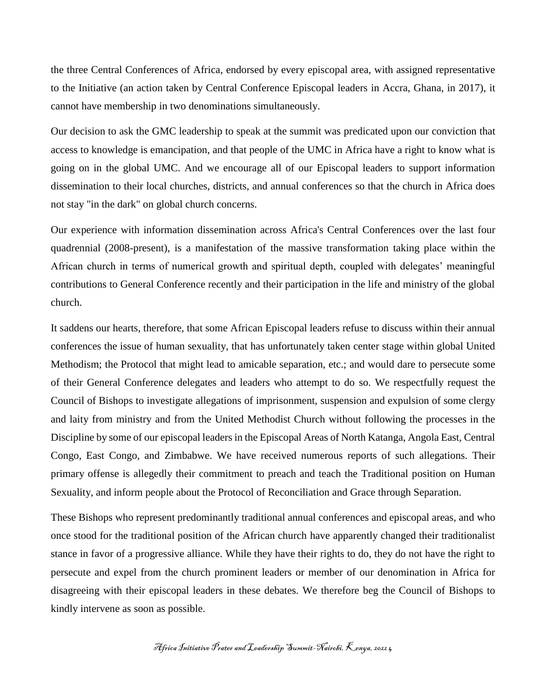the three Central Conferences of Africa, endorsed by every episcopal area, with assigned representative to the Initiative (an action taken by Central Conference Episcopal leaders in Accra, Ghana, in 2017), it cannot have membership in two denominations simultaneously.

Our decision to ask the GMC leadership to speak at the summit was predicated upon our conviction that access to knowledge is emancipation, and that people of the UMC in Africa have a right to know what is going on in the global UMC. And we encourage all of our Episcopal leaders to support information dissemination to their local churches, districts, and annual conferences so that the church in Africa does not stay "in the dark" on global church concerns.

Our experience with information dissemination across Africa's Central Conferences over the last four quadrennial (2008-present), is a manifestation of the massive transformation taking place within the African church in terms of numerical growth and spiritual depth, coupled with delegates' meaningful contributions to General Conference recently and their participation in the life and ministry of the global church.

It saddens our hearts, therefore, that some African Episcopal leaders refuse to discuss within their annual conferences the issue of human sexuality, that has unfortunately taken center stage within global United Methodism; the Protocol that might lead to amicable separation, etc.; and would dare to persecute some of their General Conference delegates and leaders who attempt to do so. We respectfully request the Council of Bishops to investigate allegations of imprisonment, suspension and expulsion of some clergy and laity from ministry and from the United Methodist Church without following the processes in the Discipline by some of our episcopal leaders in the Episcopal Areas of North Katanga, Angola East, Central Congo, East Congo, and Zimbabwe. We have received numerous reports of such allegations. Their primary offense is allegedly their commitment to preach and teach the Traditional position on Human Sexuality, and inform people about the Protocol of Reconciliation and Grace through Separation.

These Bishops who represent predominantly traditional annual conferences and episcopal areas, and who once stood for the traditional position of the African church have apparently changed their traditionalist stance in favor of a progressive alliance. While they have their rights to do, they do not have the right to persecute and expel from the church prominent leaders or member of our denomination in Africa for disagreeing with their episcopal leaders in these debates. We therefore beg the Council of Bishops to kindly intervene as soon as possible.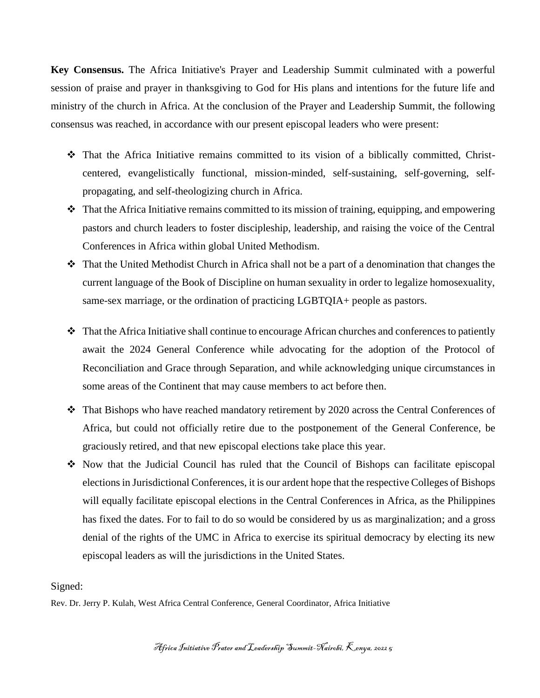**Key Consensus.** The Africa Initiative's Prayer and Leadership Summit culminated with a powerful session of praise and prayer in thanksgiving to God for His plans and intentions for the future life and ministry of the church in Africa. At the conclusion of the Prayer and Leadership Summit, the following consensus was reached, in accordance with our present episcopal leaders who were present:

- $\hat{\mathbf{v}}$  That the Africa Initiative remains committed to its vision of a biblically committed, Christcentered, evangelistically functional, mission-minded, self-sustaining, self-governing, selfpropagating, and self-theologizing church in Africa.
- $\cdot$  That the Africa Initiative remains committed to its mission of training, equipping, and empowering pastors and church leaders to foster discipleship, leadership, and raising the voice of the Central Conferences in Africa within global United Methodism.
- That the United Methodist Church in Africa shall not be a part of a denomination that changes the current language of the Book of Discipline on human sexuality in order to legalize homosexuality, same-sex marriage, or the ordination of practicing LGBTQIA+ people as pastors.
- $\cdot \cdot$  That the Africa Initiative shall continue to encourage African churches and conferences to patiently await the 2024 General Conference while advocating for the adoption of the Protocol of Reconciliation and Grace through Separation, and while acknowledging unique circumstances in some areas of the Continent that may cause members to act before then.
- That Bishops who have reached mandatory retirement by 2020 across the Central Conferences of Africa, but could not officially retire due to the postponement of the General Conference, be graciously retired, and that new episcopal elections take place this year.
- Now that the Judicial Council has ruled that the Council of Bishops can facilitate episcopal elections in Jurisdictional Conferences, it is our ardent hope that the respective Colleges of Bishops will equally facilitate episcopal elections in the Central Conferences in Africa, as the Philippines has fixed the dates. For to fail to do so would be considered by us as marginalization; and a gross denial of the rights of the UMC in Africa to exercise its spiritual democracy by electing its new episcopal leaders as will the jurisdictions in the United States.

## Signed:

Rev. Dr. Jerry P. Kulah, West Africa Central Conference, General Coordinator, Africa Initiative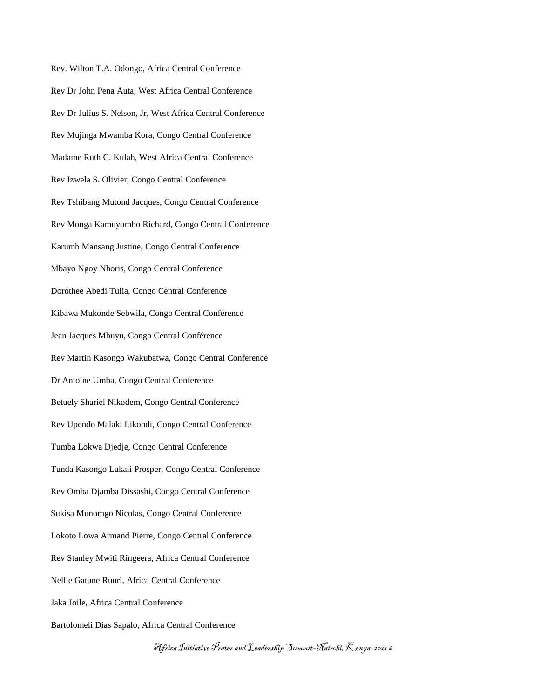Rev. Wilton T.A. Odongo, Africa Central Conference Rev Dr John Pena Auta, West Africa Central Conference Rev Dr Julius S. Nelson, Jr, West Africa Central Conference Rev Mujinga Mwamba Kora, Congo Central Conference Madame Ruth C. Kulah, West Africa Central Conference Rev Izwela S. Olivier, Congo Central Conference Rev Tshibang Mutond Jacques, Congo Central Conference Rev Monga Kamuyombo Richard, Congo Central Conference Karumb Mansang Justine, Congo Central Conference Mbayo Ngoy Nhoris, Congo Central Conference Dorothee Abedi Tulia, Congo Central Conference Kibawa Mukonde Sebwila, Congo Central Conférence Jean Jacques Mbuyu, Congo Central Conférence Rev Martin Kasongo Wakubatwa, Congo Central Conference Dr Antoine Umba, Congo Central Conference Betuely Shariel Nikodem, Congo Central Conference Rev Upendo Malaki Likondi, Congo Central Conference Tumba Lokwa Djedje, Congo Central Conference Tunda Kasongo Lukali Prosper, Congo Central Conference Rev Omba Djamba Dissashi, Congo Central Conference Sukisa Munomgo Nicolas, Congo Central Conference Lokoto Lowa Armand Pierre, Congo Central Conference Rev Stanley Mwiti Ringeera, Africa Central Conference Nellie Gatune Ruuri, Africa Central Conference Jaka Joile, Africa Central Conference Bartolomeli Dias Sapalo, Africa Central Conference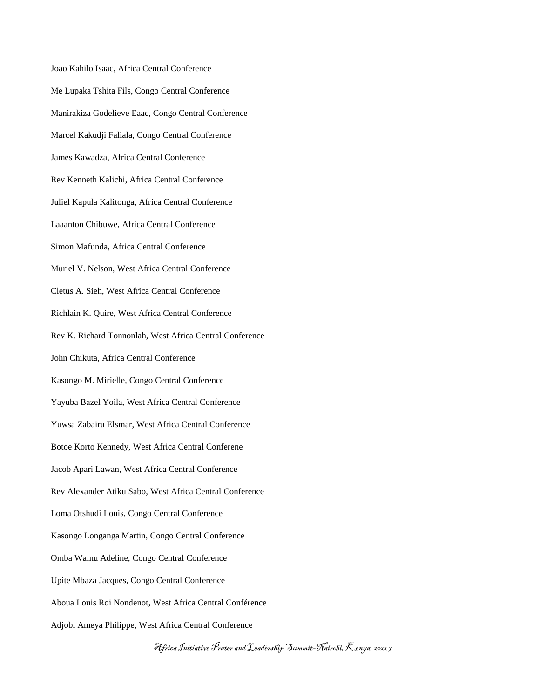Joao Kahilo Isaac, Africa Central Conference Me Lupaka Tshita Fils, Congo Central Conference Manirakiza Godelieve Eaac, Congo Central Conference Marcel Kakudji Faliala, Congo Central Conference James Kawadza, Africa Central Conference Rev Kenneth Kalichi, Africa Central Conference Juliel Kapula Kalitonga, Africa Central Conference Laaanton Chibuwe, Africa Central Conference Simon Mafunda, Africa Central Conference Muriel V. Nelson, West Africa Central Conference Cletus A. Sieh, West Africa Central Conference Richlain K. Quire, West Africa Central Conference Rev K. Richard Tonnonlah, West Africa Central Conference John Chikuta, Africa Central Conference Kasongo M. Mirielle, Congo Central Conference Yayuba Bazel Yoila, West Africa Central Conference Yuwsa Zabairu Elsmar, West Africa Central Conference Botoe Korto Kennedy, West Africa Central Conferene Jacob Apari Lawan, West Africa Central Conference Rev Alexander Atiku Sabo, West Africa Central Conference Loma Otshudi Louis, Congo Central Conference Kasongo Longanga Martin, Congo Central Conference Omba Wamu Adeline, Congo Central Conference Upite Mbaza Jacques, Congo Central Conference Aboua Louis Roi Nondenot, West Africa Central Conférence Adjobi Ameya Philippe, West Africa Central Conference